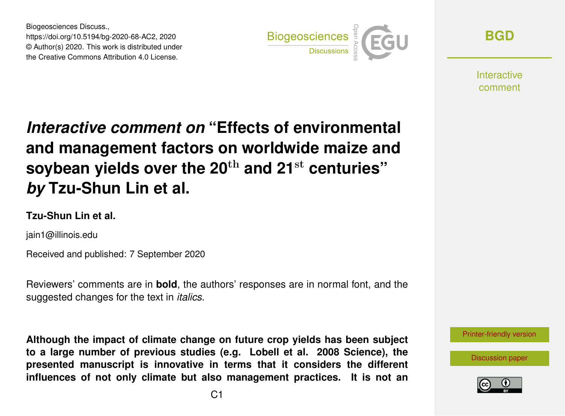Biogeosciences Discuss., https://doi.org/10.5194/bg-2020-68-AC2, 2020 © Author(s) 2020. This work is distributed under the Creative Commons Attribution 4.0 License.



**[BGD](https://bg.copernicus.org/preprints/)**

Interactive comment

# *Interactive comment on* **"Effects of environmental and management factors on worldwide maize and soybean yields over the 20**th **and 21**st **centuries"** *by* **Tzu-Shun Lin et al.**

# **Tzu-Shun Lin et al.**

jain1@illinois.edu

Received and published: 7 September 2020

Reviewers' comments are in **bold**, the authors' responses are in normal font, and the suggested changes for the text in *italics*.

**Although the impact of climate change on future crop yields has been subject to a large number of previous studies (e.g. Lobell et al. 2008 Science), the presented manuscript is innovative in terms that it considers the different influences of not only climate but also management practices. It is not an**



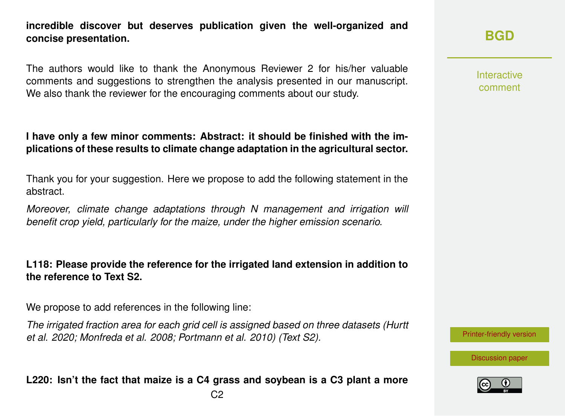**incredible discover but deserves publication given the well-organized and concise presentation.**

The authors would like to thank the Anonymous Reviewer 2 for his/her valuable comments and suggestions to strengthen the analysis presented in our manuscript. We also thank the reviewer for the encouraging comments about our study.

## **I have only a few minor comments: Abstract: it should be finished with the implications of these results to climate change adaptation in the agricultural sector.**

Thank you for your suggestion. Here we propose to add the following statement in the abstract.

*Moreover, climate change adaptations through N management and irrigation will benefit crop yield, particularly for the maize, under the higher emission scenario.*

#### **L118: Please provide the reference for the irrigated land extension in addition to the reference to Text S2.**

We propose to add references in the following line:

*The irrigated fraction area for each grid cell is assigned based on three datasets (Hurtt et al. 2020; Monfreda et al. 2008; Portmann et al. 2010) (Text S2).*

**L220: Isn't the fact that maize is a C4 grass and soybean is a C3 plant a more**

**[BGD](https://bg.copernicus.org/preprints/)**

Interactive comment

[Printer-friendly version](https://bg.copernicus.org/preprints/bg-2020-68/bg-2020-68-AC2-print.pdf)

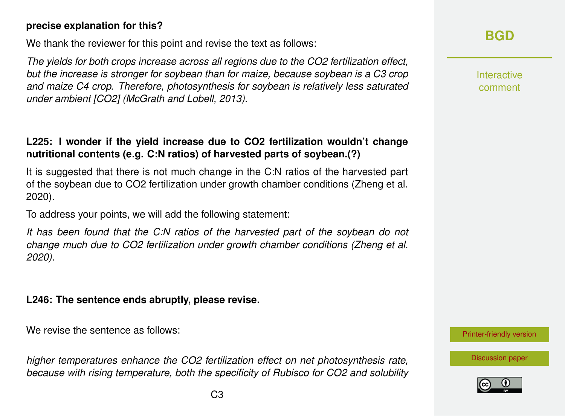#### **precise explanation for this?**

We thank the reviewer for this point and revise the text as follows:

*The yields for both crops increase across all regions due to the CO2 fertilization effect, but the increase is stronger for soybean than for maize, because soybean is a C3 crop and maize C4 crop. Therefore, photosynthesis for soybean is relatively less saturated under ambient [CO2] (McGrath and Lobell, 2013).*

# **L225: I wonder if the yield increase due to CO2 fertilization wouldn't change nutritional contents (e.g. C:N ratios) of harvested parts of soybean.(?)**

It is suggested that there is not much change in the C:N ratios of the harvested part of the soybean due to CO2 fertilization under growth chamber conditions (Zheng et al. 2020).

To address your points, we will add the following statement:

*It has been found that the C:N ratios of the harvested part of the soybean do not change much due to CO2 fertilization under growth chamber conditions (Zheng et al. 2020).*

## **L246: The sentence ends abruptly, please revise.**

We revise the sentence as follows:

*higher temperatures enhance the CO2 fertilization effect on net photosynthesis rate, because with rising temperature, both the specificity of Rubisco for CO2 and solubility*

# **[BGD](https://bg.copernicus.org/preprints/)**

Interactive comment

[Printer-friendly version](https://bg.copernicus.org/preprints/bg-2020-68/bg-2020-68-AC2-print.pdf)

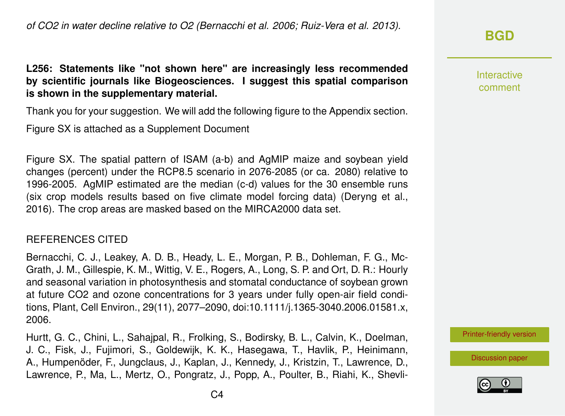# **[BGD](https://bg.copernicus.org/preprints/)**

Interactive comment

[Printer-friendly version](https://bg.copernicus.org/preprints/bg-2020-68/bg-2020-68-AC2-print.pdf)

[Discussion paper](https://bg.copernicus.org/preprints/bg-2020-68)



**L256: Statements like "not shown here" are increasingly less recommended by scientific journals like Biogeosciences. I suggest this spatial comparison is shown in the supplementary material.**

Thank you for your suggestion. We will add the following figure to the Appendix section.

Figure SX is attached as a Supplement Document

Figure SX. The spatial pattern of ISAM (a-b) and AgMIP maize and soybean yield changes (percent) under the RCP8.5 scenario in 2076-2085 (or ca. 2080) relative to 1996-2005. AgMIP estimated are the median (c-d) values for the 30 ensemble runs (six crop models results based on five climate model forcing data) (Deryng et al., 2016). The crop areas are masked based on the MIRCA2000 data set.

#### REFERENCES CITED

Bernacchi, C. J., Leakey, A. D. B., Heady, L. E., Morgan, P. B., Dohleman, F. G., Mc-Grath, J. M., Gillespie, K. M., Wittig, V. E., Rogers, A., Long, S. P. and Ort, D. R.: Hourly and seasonal variation in photosynthesis and stomatal conductance of soybean grown at future CO2 and ozone concentrations for 3 years under fully open-air field conditions, Plant, Cell Environ., 29(11), 2077–2090, doi:10.1111/j.1365-3040.2006.01581.x, 2006.

Hurtt, G. C., Chini, L., Sahajpal, R., Frolking, S., Bodirsky, B. L., Calvin, K., Doelman, J. C., Fisk, J., Fujimori, S., Goldewijk, K. K., Hasegawa, T., Havlik, P., Heinimann, A., Humpenöder, F., Jungclaus, J., Kaplan, J., Kennedy, J., Kristzin, T., Lawrence, D., Lawrence, P., Ma, L., Mertz, O., Pongratz, J., Popp, A., Poulter, B., Riahi, K., Shevli-